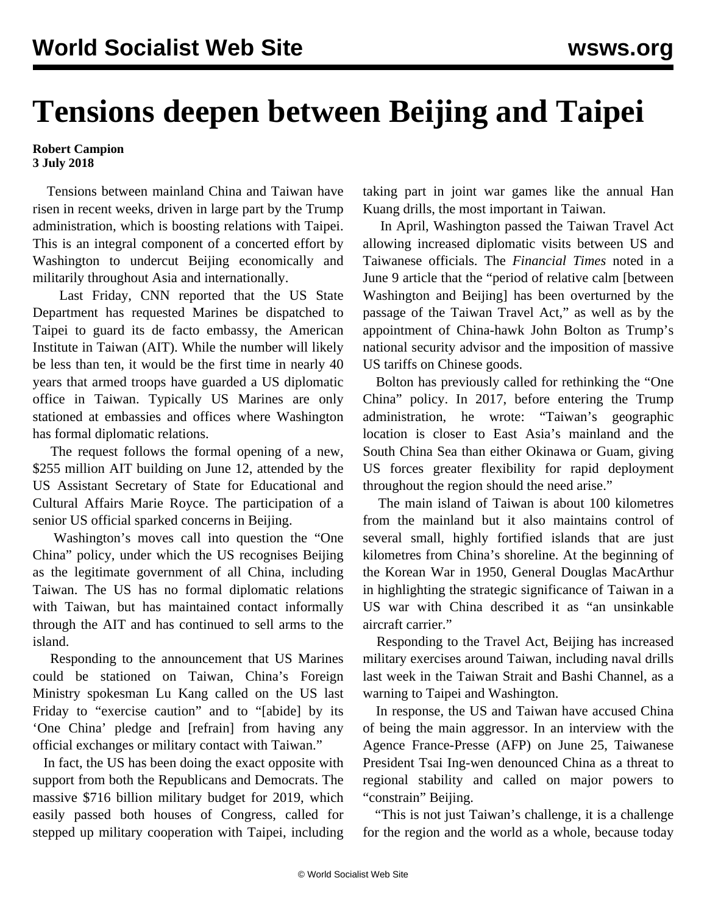## **Tensions deepen between Beijing and Taipei**

## **Robert Campion 3 July 2018**

 Tensions between mainland China and Taiwan have risen in recent weeks, driven in large part by the Trump administration, which is boosting relations with Taipei. This is an integral component of a concerted effort by Washington to undercut Beijing economically and militarily throughout Asia and internationally.

 Last Friday, CNN reported that the US State Department has requested Marines be dispatched to Taipei to guard its de facto embassy, the American Institute in Taiwan (AIT). While the number will likely be less than ten, it would be the first time in nearly 40 years that armed troops have guarded a US diplomatic office in Taiwan. Typically US Marines are only stationed at embassies and offices where Washington has formal diplomatic relations.

 The request follows the formal opening of a new, \$255 million AIT building on June 12, attended by the US Assistant Secretary of State for Educational and Cultural Affairs Marie Royce. The participation of a senior US official sparked concerns in Beijing.

 Washington's moves call into question the "One China" policy, under which the US recognises Beijing as the legitimate government of all China, including Taiwan. The US has no formal diplomatic relations with Taiwan, but has maintained contact informally through the AIT and has continued to sell arms to the island.

 Responding to the announcement that US Marines could be stationed on Taiwan, China's Foreign Ministry spokesman Lu Kang called on the US last Friday to "exercise caution" and to "[abide] by its 'One China' pledge and [refrain] from having any official exchanges or military contact with Taiwan."

 In fact, the US has been doing the exact opposite with support from both the Republicans and Democrats. The massive \$716 billion military budget for 2019, which easily passed both houses of Congress, called for stepped up military cooperation with Taipei, including taking part in joint war games like the annual Han Kuang drills, the most important in Taiwan.

 In April, Washington passed the Taiwan Travel Act allowing increased diplomatic visits between US and Taiwanese officials. The *Financial Times* noted in a June 9 article that the "period of relative calm [between Washington and Beijing] has been overturned by the passage of the Taiwan Travel Act," as well as by the appointment of China-hawk John Bolton as Trump's national security advisor and the imposition of massive US tariffs on Chinese goods.

 Bolton has previously called for rethinking the "One China" policy. In 2017, before entering the Trump administration, he wrote: "Taiwan's geographic location is closer to East Asia's mainland and the South China Sea than either Okinawa or Guam, giving US forces greater flexibility for rapid deployment throughout the region should the need arise."

 The main island of Taiwan is about 100 kilometres from the mainland but it also maintains control of several small, highly fortified islands that are just kilometres from China's shoreline. At the beginning of the Korean War in 1950, General Douglas MacArthur in highlighting the strategic significance of Taiwan in a US war with China described it as "an unsinkable aircraft carrier."

 Responding to the Travel Act, Beijing has increased military exercises around Taiwan, including naval drills last week in the Taiwan Strait and Bashi Channel, as a warning to Taipei and Washington.

 In response, the US and Taiwan have accused China of being the main aggressor. In an interview with the Agence France-Presse (AFP) on June 25, Taiwanese President Tsai Ing-wen denounced China as a threat to regional stability and called on major powers to "constrain" Beijing.

 "This is not just Taiwan's challenge, it is a challenge for the region and the world as a whole, because today